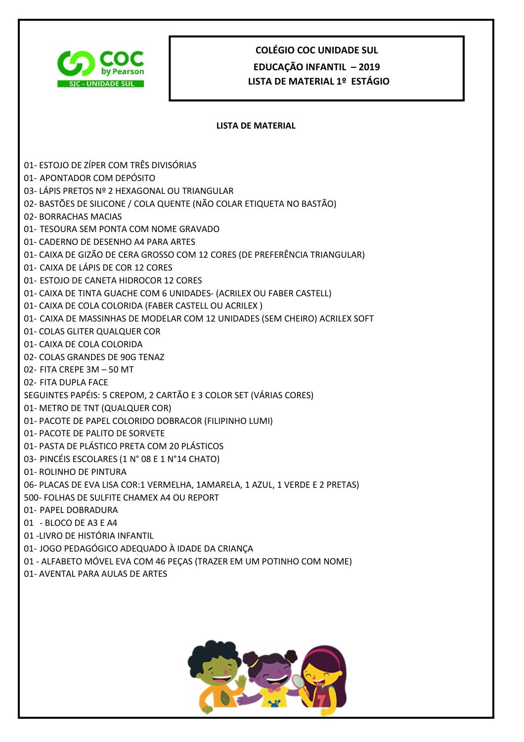

# **COLÉGIO COC UNIDADE SUL EDUCAÇÃO INFANTIL – 2019 LISTA DE MATERIAL 1º ESTÁGIO**

#### **LISTA DE MATERIAL**

- 01- ESTOJO DE ZÍPER COM TRÊS DIVISÓRIAS
- 01- APONTADOR COM DEPÓSITO
- 03- LÁPIS PRETOS Nº 2 HEXAGONAL OU TRIANGULAR
- 02- BASTÕES DE SILICONE / COLA QUENTE (NÃO COLAR ETIQUETA NO BASTÃO)
- 02- BORRACHAS MACIAS
- 01- TESOURA SEM PONTA COM NOME GRAVADO
- 01- CADERNO DE DESENHO A4 PARA ARTES
- 01- CAIXA DE GIZÃO DE CERA GROSSO COM 12 CORES (DE PREFERÊNCIA TRIANGULAR)
- 01- CAIXA DE LÁPIS DE COR 12 CORES
- 01- ESTOJO DE CANETA HIDROCOR 12 CORES
- 01- CAIXA DE TINTA GUACHE COM 6 UNIDADES- (ACRILEX OU FABER CASTELL)
- 01- CAIXA DE COLA COLORIDA (FABER CASTELL OU ACRILEX )
- 01- CAIXA DE MASSINHAS DE MODELAR COM 12 UNIDADES (SEM CHEIRO) ACRILEX SOFT
- 01- COLAS GLITER QUALQUER COR
- 01- CAIXA DE COLA COLORIDA
- 02- COLAS GRANDES DE 90G TENAZ
- 02- FITA CREPE 3M 50 MT
- 02- FITA DUPLA FACE
- SEGUINTES PAPÉIS: 5 CREPOM, 2 CARTÃO E 3 COLOR SET (VÁRIAS CORES)
- 01- METRO DE TNT (QUALQUER COR)
- 01- PACOTE DE PAPEL COLORIDO DOBRACOR (FILIPINHO LUMI)
- 01- PACOTE DE PALITO DE SORVETE
- 01- PASTA DE PLÁSTICO PRETA COM 20 PLÁSTICOS
- 03- PINCÉIS ESCOLARES (1 N° 08 E 1 N°14 CHATO)
- 01- ROLINHO DE PINTURA
- 06- PLACAS DE EVA LISA COR:1 VERMELHA, 1AMARELA, 1 AZUL, 1 VERDE E 2 PRETAS)
- 500- FOLHAS DE SULFITE CHAMEX A4 OU REPORT
- 01- PAPEL DOBRADURA
- 01 BLOCO DE A3 E A4
- 01 -LIVRO DE HISTÓRIA INFANTIL
- 01- JOGO PEDAGÓGICO ADEQUADO À IDADE DA CRIANÇA
- 01 ALFABETO MÓVEL EVA COM 46 PEÇAS (TRAZER EM UM POTINHO COM NOME)
- 01- AVENTAL PARA AULAS DE ARTES